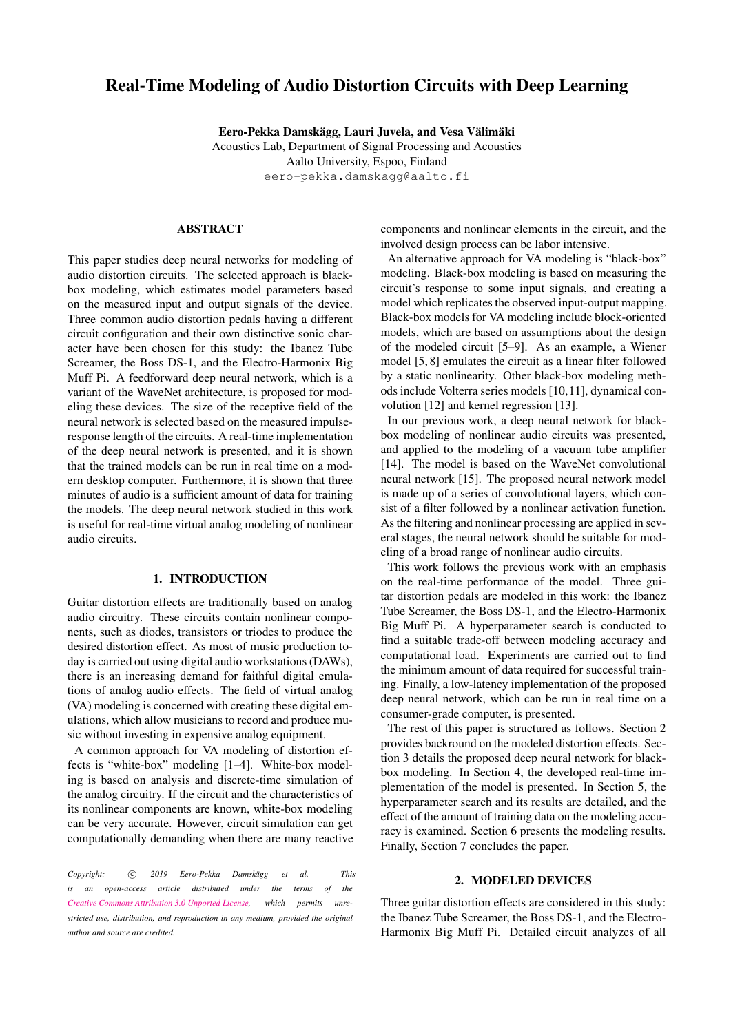# Real-Time Modeling of Audio Distortion Circuits with Deep Learning

Eero-Pekka Damskägg, Lauri Juvela, and Vesa Välimäki Acoustics Lab, Department of Signal Processing and Acoustics Aalto University, Espoo, Finland [eero-pekka.damskagg@aalto.fi](mailto:eero-pekka.damskagg@aalto.fi)

# ABSTRACT

This paper studies deep neural networks for modeling of audio distortion circuits. The selected approach is blackbox modeling, which estimates model parameters based on the measured input and output signals of the device. Three common audio distortion pedals having a different circuit configuration and their own distinctive sonic character have been chosen for this study: the Ibanez Tube Screamer, the Boss DS-1, and the Electro-Harmonix Big Muff Pi. A feedforward deep neural network, which is a variant of the WaveNet architecture, is proposed for modeling these devices. The size of the receptive field of the neural network is selected based on the measured impulseresponse length of the circuits. A real-time implementation of the deep neural network is presented, and it is shown that the trained models can be run in real time on a modern desktop computer. Furthermore, it is shown that three minutes of audio is a sufficient amount of data for training the models. The deep neural network studied in this work is useful for real-time virtual analog modeling of nonlinear audio circuits.

## 1. INTRODUCTION

Guitar distortion effects are traditionally based on analog audio circuitry. These circuits contain nonlinear components, such as diodes, transistors or triodes to produce the desired distortion effect. As most of music production today is carried out using digital audio workstations(DAWs), there is an increasing demand for faithful digital emulations of analog audio effects. The field of virtual analog (VA) modeling is concerned with creating these digital emulations, which allow musicians to record and produce music without investing in expensive analog equipment.

A common approach for VA modeling of distortion effects is "white-box" modeling [\[1](#page-6-0)[–4\]](#page-7-0). White-box modeling is based on analysis and discrete-time simulation of the analog circuitry. If the circuit and the characteristics of its nonlinear components are known, white-box modeling can be very accurate. However, circuit simulation can get computationally demanding when there are many reactive

*Copyright:* c *2019 Eero-Pekka Damsk¨agg et al. This is an open-access article distributed under the terms of the Creative Commons [Attribution](http://creativecommons.org/licenses/by/3.0/) 3.0 Unported License, which permits unrestricted use, distribution, and reproduction in any medium, provided the original author and source are credited.*

components and nonlinear elements in the circuit, and the involved design process can be labor intensive.

An alternative approach for VA modeling is "black-box" modeling. Black-box modeling is based on measuring the circuit's response to some input signals, and creating a model which replicates the observed input-output mapping. Black-box models for VA modeling include block-oriented models, which are based on assumptions about the design of the modeled circuit [\[5](#page-7-1)[–9\]](#page-7-2). As an example, a Wiener model [\[5,](#page-7-1) [8\]](#page-7-3) emulates the circuit as a linear filter followed by a static nonlinearity. Other black-box modeling methods include Volterra series models [\[10](#page-7-4)[,11\]](#page-7-5), dynamical convolution [\[12\]](#page-7-6) and kernel regression [\[13\]](#page-7-7).

In our previous work, a deep neural network for blackbox modeling of nonlinear audio circuits was presented, and applied to the modeling of a vacuum tube amplifier [\[14\]](#page-7-8). The model is based on the WaveNet convolutional neural network [\[15\]](#page-7-9). The proposed neural network model is made up of a series of convolutional layers, which consist of a filter followed by a nonlinear activation function. As the filtering and nonlinear processing are applied in several stages, the neural network should be suitable for modeling of a broad range of nonlinear audio circuits.

This work follows the previous work with an emphasis on the real-time performance of the model. Three guitar distortion pedals are modeled in this work: the Ibanez Tube Screamer, the Boss DS-1, and the Electro-Harmonix Big Muff Pi. A hyperparameter search is conducted to find a suitable trade-off between modeling accuracy and computational load. Experiments are carried out to find the minimum amount of data required for successful training. Finally, a low-latency implementation of the proposed deep neural network, which can be run in real time on a consumer-grade computer, is presented.

The rest of this paper is structured as follows. Section [2](#page-0-0) provides backround on the modeled distortion effects. Section [3](#page-1-0) details the proposed deep neural network for blackbox modeling. In Section [4,](#page-3-0) the developed real-time implementation of the model is presented. In Section [5,](#page-3-1) the hyperparameter search and its results are detailed, and the effect of the amount of training data on the modeling accuracy is examined. Section [6](#page-5-0) presents the modeling results. Finally, Section [7](#page-6-1) concludes the paper.

## 2. MODELED DEVICES

<span id="page-0-0"></span>Three guitar distortion effects are considered in this study: the Ibanez Tube Screamer, the Boss DS-1, and the Electro-Harmonix Big Muff Pi. Detailed circuit analyzes of all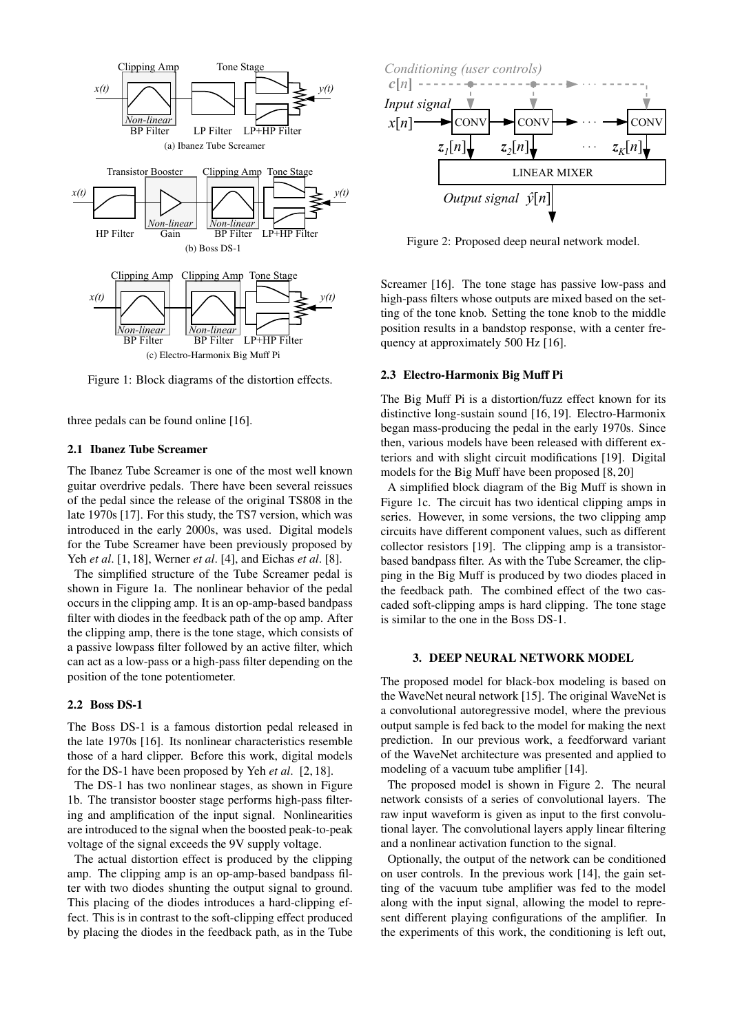<span id="page-1-2"></span><span id="page-1-1"></span>

<span id="page-1-3"></span>Figure 1: Block diagrams of the distortion effects.

three pedals can be found online [\[16\]](#page-7-10).

# 2.1 Ibanez Tube Screamer

The Ibanez Tube Screamer is one of the most well known guitar overdrive pedals. There have been several reissues of the pedal since the release of the original TS808 in the late 1970s [\[17\]](#page-7-11). For this study, the TS7 version, which was introduced in the early 2000s, was used. Digital models for the Tube Screamer have been previously proposed by Yeh *et al*. [\[1,](#page-6-0) [18\]](#page-7-12), Werner *et al*. [\[4\]](#page-7-0), and Eichas *et al*. [\[8\]](#page-7-3).

The simplified structure of the Tube Screamer pedal is shown in Figure [1a.](#page-1-1) The nonlinear behavior of the pedal occurs in the clipping amp. It is an op-amp-based bandpass filter with diodes in the feedback path of the op amp. After the clipping amp, there is the tone stage, which consists of a passive lowpass filter followed by an active filter, which can act as a low-pass or a high-pass filter depending on the position of the tone potentiometer.

#### 2.2 Boss DS-1

The Boss DS-1 is a famous distortion pedal released in the late 1970s [\[16\]](#page-7-10). Its nonlinear characteristics resemble those of a hard clipper. Before this work, digital models for the DS-1 have been proposed by Yeh *et al*. [\[2,](#page-6-2) [18\]](#page-7-12).

The DS-1 has two nonlinear stages, as shown in Figure [1b.](#page-1-2) The transistor booster stage performs high-pass filtering and amplification of the input signal. Nonlinearities are introduced to the signal when the boosted peak-to-peak voltage of the signal exceeds the 9V supply voltage.

The actual distortion effect is produced by the clipping amp. The clipping amp is an op-amp-based bandpass filter with two diodes shunting the output signal to ground. This placing of the diodes introduces a hard-clipping effect. This is in contrast to the soft-clipping effect produced by placing the diodes in the feedback path, as in the Tube

<span id="page-1-4"></span>

Figure 2: Proposed deep neural network model.

Screamer [\[16\]](#page-7-10). The tone stage has passive low-pass and high-pass filters whose outputs are mixed based on the setting of the tone knob. Setting the tone knob to the middle position results in a bandstop response, with a center frequency at approximately 500 Hz [\[16\]](#page-7-10).

## 2.3 Electro-Harmonix Big Muff Pi

The Big Muff Pi is a distortion/fuzz effect known for its distinctive long-sustain sound [\[16,](#page-7-10) [19\]](#page-7-13). Electro-Harmonix began mass-producing the pedal in the early 1970s. Since then, various models have been released with different exteriors and with slight circuit modifications [\[19\]](#page-7-13). Digital models for the Big Muff have been proposed [\[8,](#page-7-3) [20\]](#page-7-14)

A simplified block diagram of the Big Muff is shown in Figure [1c.](#page-1-3) The circuit has two identical clipping amps in series. However, in some versions, the two clipping amp circuits have different component values, such as different collector resistors [\[19\]](#page-7-13). The clipping amp is a transistorbased bandpass filter. As with the Tube Screamer, the clipping in the Big Muff is produced by two diodes placed in the feedback path. The combined effect of the two cascaded soft-clipping amps is hard clipping. The tone stage is similar to the one in the Boss DS-1.

#### 3. DEEP NEURAL NETWORK MODEL

<span id="page-1-0"></span>The proposed model for black-box modeling is based on the WaveNet neural network [\[15\]](#page-7-9). The original WaveNet is a convolutional autoregressive model, where the previous output sample is fed back to the model for making the next prediction. In our previous work, a feedforward variant of the WaveNet architecture was presented and applied to modeling of a vacuum tube amplifier [\[14\]](#page-7-8).

The proposed model is shown in Figure [2.](#page-1-4) The neural network consists of a series of convolutional layers. The raw input waveform is given as input to the first convolutional layer. The convolutional layers apply linear filtering and a nonlinear activation function to the signal.

Optionally, the output of the network can be conditioned on user controls. In the previous work [\[14\]](#page-7-8), the gain setting of the vacuum tube amplifier was fed to the model along with the input signal, allowing the model to represent different playing configurations of the amplifier. In the experiments of this work, the conditioning is left out,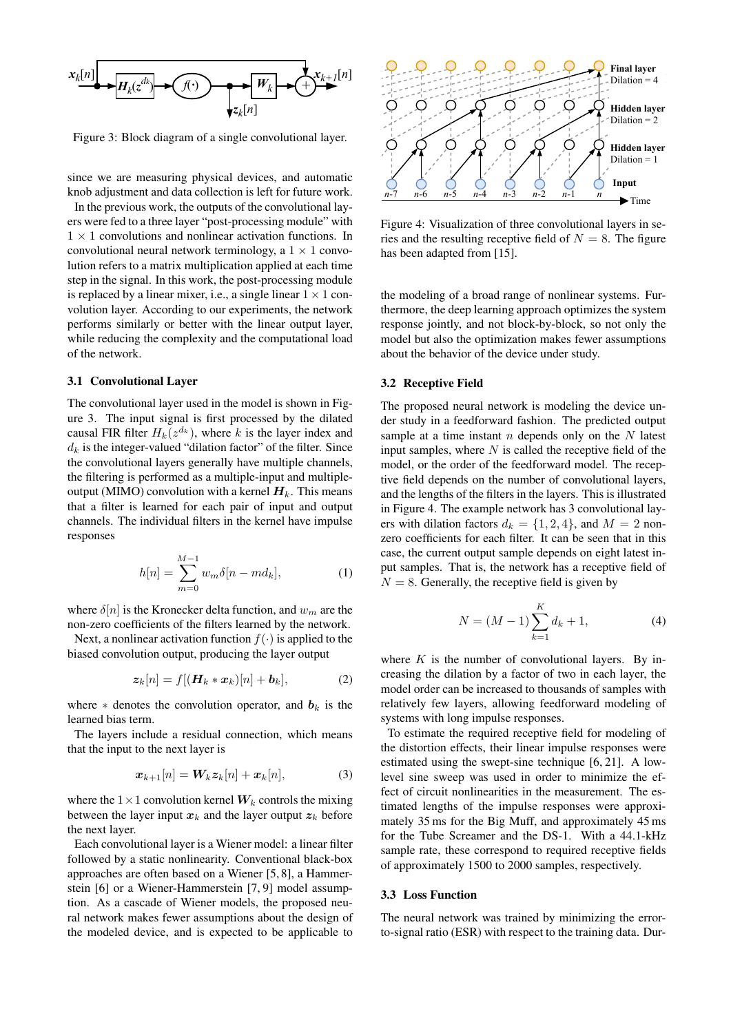<span id="page-2-0"></span>

Figure 3: Block diagram of a single convolutional layer.

since we are measuring physical devices, and automatic knob adjustment and data collection is left for future work.

In the previous work, the outputs of the convolutional layers were fed to a three layer "post-processing module" with  $1 \times 1$  convolutions and nonlinear activation functions. In convolutional neural network terminology, a  $1 \times 1$  convolution refers to a matrix multiplication applied at each time step in the signal. In this work, the post-processing module is replaced by a linear mixer, i.e., a single linear  $1 \times 1$  convolution layer. According to our experiments, the network performs similarly or better with the linear output layer, while reducing the complexity and the computational load of the network.

## 3.1 Convolutional Layer

The convolutional layer used in the model is shown in Figure [3.](#page-2-0) The input signal is first processed by the dilated causal FIR filter  $H_k(z^{d_k})$ , where k is the layer index and  $d_k$  is the integer-valued "dilation factor" of the filter. Since the convolutional layers generally have multiple channels, the filtering is performed as a multiple-input and multipleoutput (MIMO) convolution with a kernel  $H_k$ . This means that a filter is learned for each pair of input and output channels. The individual filters in the kernel have impulse responses

$$
h[n] = \sum_{m=0}^{M-1} w_m \delta[n - m d_k],
$$
 (1)

where  $\delta[n]$  is the Kronecker delta function, and  $w_m$  are the non-zero coefficients of the filters learned by the network.

Next, a nonlinear activation function  $f(\cdot)$  is applied to the biased convolution output, producing the layer output

$$
\boldsymbol{z}_k[n] = f[(\boldsymbol{H}_k * \boldsymbol{x}_k)[n] + \boldsymbol{b}_k],\tag{2}
$$

where  $*$  denotes the convolution operator, and  $b_k$  is the learned bias term.

The layers include a residual connection, which means that the input to the next layer is

$$
\boldsymbol{x}_{k+1}[n] = \boldsymbol{W}_k \boldsymbol{z}_k[n] + \boldsymbol{x}_k[n], \tag{3}
$$

where the  $1 \times 1$  convolution kernel  $W_k$  controls the mixing between the layer input  $x_k$  and the layer output  $z_k$  before the next layer.

Each convolutional layer is a Wiener model: a linear filter followed by a static nonlinearity. Conventional black-box approaches are often based on a Wiener [\[5,](#page-7-1) [8\]](#page-7-3), a Hammerstein [\[6\]](#page-7-15) or a Wiener-Hammerstein [\[7,](#page-7-16) [9\]](#page-7-2) model assumption. As a cascade of Wiener models, the proposed neural network makes fewer assumptions about the design of the modeled device, and is expected to be applicable to

<span id="page-2-1"></span>

Figure 4: Visualization of three convolutional layers in series and the resulting receptive field of  $N = 8$ . The figure has been adapted from [\[15\]](#page-7-9).

the modeling of a broad range of nonlinear systems. Furthermore, the deep learning approach optimizes the system response jointly, and not block-by-block, so not only the model but also the optimization makes fewer assumptions about the behavior of the device under study.

#### 3.2 Receptive Field

The proposed neural network is modeling the device under study in a feedforward fashion. The predicted output sample at a time instant  $n$  depends only on the  $N$  latest input samples, where  $N$  is called the receptive field of the model, or the order of the feedforward model. The receptive field depends on the number of convolutional layers, and the lengths of the filters in the layers. This is illustrated in Figure [4.](#page-2-1) The example network has 3 convolutional layers with dilation factors  $d_k = \{1, 2, 4\}$ , and  $M = 2$  nonzero coefficients for each filter. It can be seen that in this case, the current output sample depends on eight latest input samples. That is, the network has a receptive field of  $N = 8$ . Generally, the receptive field is given by

<span id="page-2-2"></span>
$$
N = (M - 1) \sum_{k=1}^{K} d_k + 1,
$$
 (4)

where  $K$  is the number of convolutional layers. By increasing the dilation by a factor of two in each layer, the model order can be increased to thousands of samples with relatively few layers, allowing feedforward modeling of systems with long impulse responses.

To estimate the required receptive field for modeling of the distortion effects, their linear impulse responses were estimated using the swept-sine technique [\[6,](#page-7-15) [21\]](#page-7-17). A lowlevel sine sweep was used in order to minimize the effect of circuit nonlinearities in the measurement. The estimated lengths of the impulse responses were approximately 35 ms for the Big Muff, and approximately 45 ms for the Tube Screamer and the DS-1. With a 44.1-kHz sample rate, these correspond to required receptive fields of approximately 1500 to 2000 samples, respectively.

#### 3.3 Loss Function

The neural network was trained by minimizing the errorto-signal ratio (ESR) with respect to the training data. Dur-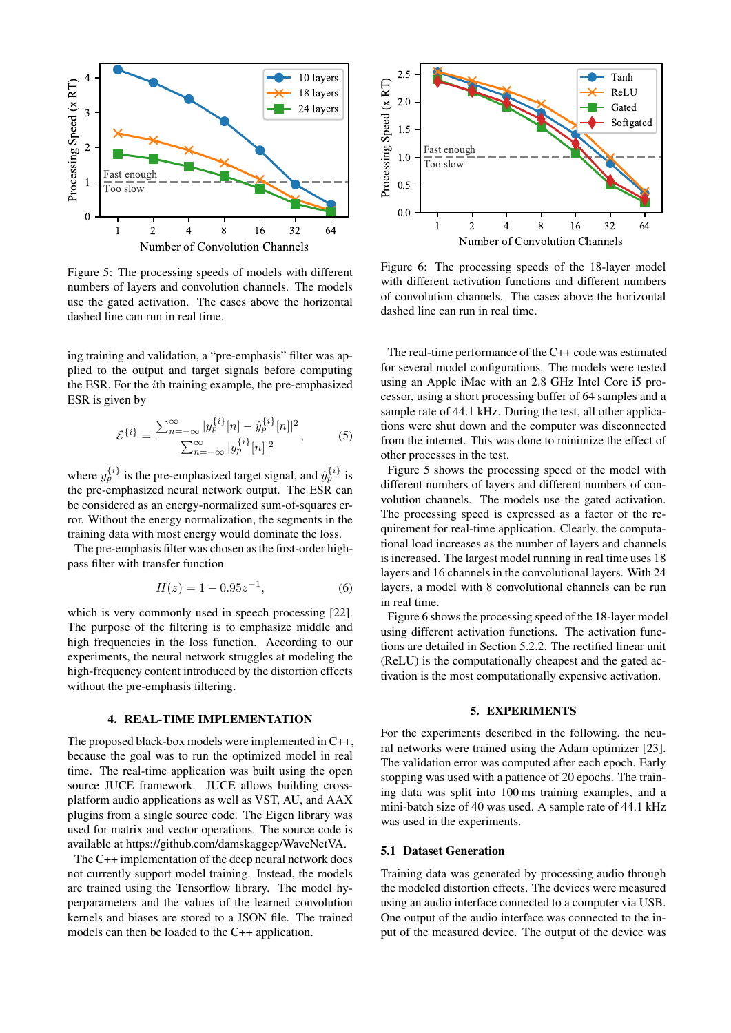<span id="page-3-2"></span>

Figure 5: The processing speeds of models with different numbers of layers and convolution channels. The models use the gated activation. The cases above the horizontal dashed line can run in real time.

ing training and validation, a "pre-emphasis" filter was applied to the output and target signals before computing the ESR. For the ith training example, the pre-emphasized ESR is given by

$$
\mathcal{E}^{\{i\}} = \frac{\sum_{n=-\infty}^{\infty} |y_p^{\{i\}}[n] - \hat{y}_p^{\{i\}}[n]|^2}{\sum_{n=-\infty}^{\infty} |y_p^{\{i\}}[n]|^2},\tag{5}
$$

where  $y_p^{\{i\}}$  is the pre-emphasized target signal, and  $\hat{y}_p^{\{i\}}$  is the pre-emphasized neural network output. The ESR can be considered as an energy-normalized sum-of-squares error. Without the energy normalization, the segments in the training data with most energy would dominate the loss.

The pre-emphasis filter was chosen as the first-order highpass filter with transfer function

$$
H(z) = 1 - 0.95z^{-1},\tag{6}
$$

which is very commonly used in speech processing [\[22\]](#page-7-18). The purpose of the filtering is to emphasize middle and high frequencies in the loss function. According to our experiments, the neural network struggles at modeling the high-frequency content introduced by the distortion effects without the pre-emphasis filtering.

# 4. REAL-TIME IMPLEMENTATION

<span id="page-3-0"></span>The proposed black-box models were implemented in C++, because the goal was to run the optimized model in real time. The real-time application was built using the open source JUCE framework. JUCE allows building crossplatform audio applications as well as VST, AU, and AAX plugins from a single source code. The Eigen library was used for matrix and vector operations. The source code is available at [https://github.com/damskaggep/WaveNetVA.](https://github.com/damskaggep/WaveNetVA)

The C++ implementation of the deep neural network does not currently support model training. Instead, the models are trained using the Tensorflow library. The model hyperparameters and the values of the learned convolution kernels and biases are stored to a JSON file. The trained models can then be loaded to the C++ application.

<span id="page-3-3"></span>

Figure 6: The processing speeds of the 18-layer model with different activation functions and different numbers of convolution channels. The cases above the horizontal dashed line can run in real time.

The real-time performance of the C++ code was estimated for several model configurations. The models were tested using an Apple iMac with an 2.8 GHz Intel Core i5 processor, using a short processing buffer of 64 samples and a sample rate of 44.1 kHz. During the test, all other applications were shut down and the computer was disconnected from the internet. This was done to minimize the effect of other processes in the test.

Figure [5](#page-3-2) shows the processing speed of the model with different numbers of layers and different numbers of convolution channels. The models use the gated activation. The processing speed is expressed as a factor of the requirement for real-time application. Clearly, the computational load increases as the number of layers and channels is increased. The largest model running in real time uses 18 layers and 16 channels in the convolutional layers. With 24 layers, a model with 8 convolutional channels can be run in real time.

Figure [6](#page-3-3) shows the processing speed of the 18-layer model using different activation functions. The activation functions are detailed in Section [5.2.2.](#page-4-0) The rectified linear unit (ReLU) is the computationally cheapest and the gated activation is the most computationally expensive activation.

# 5. EXPERIMENTS

<span id="page-3-1"></span>For the experiments described in the following, the neural networks were trained using the Adam optimizer [\[23\]](#page-7-19). The validation error was computed after each epoch. Early stopping was used with a patience of 20 epochs. The training data was split into 100 ms training examples, and a mini-batch size of 40 was used. A sample rate of 44.1 kHz was used in the experiments.

# 5.1 Dataset Generation

Training data was generated by processing audio through the modeled distortion effects. The devices were measured using an audio interface connected to a computer via USB. One output of the audio interface was connected to the input of the measured device. The output of the device was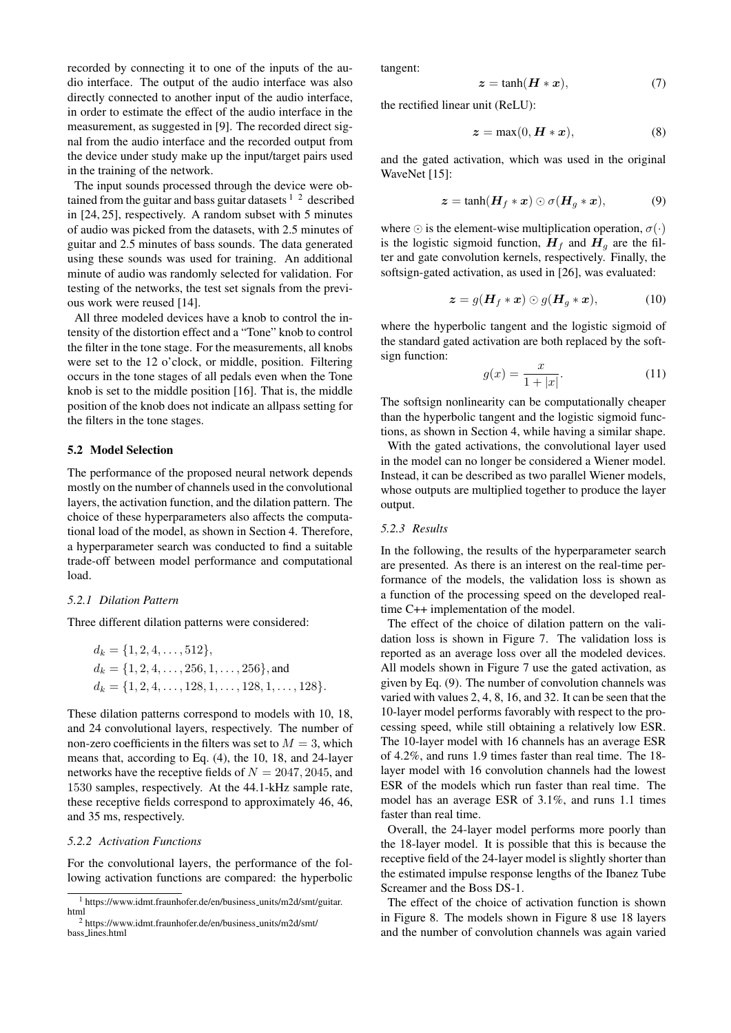recorded by connecting it to one of the inputs of the audio interface. The output of the audio interface was also directly connected to another input of the audio interface, in order to estimate the effect of the audio interface in the measurement, as suggested in [\[9\]](#page-7-2). The recorded direct signal from the audio interface and the recorded output from the device under study make up the input/target pairs used in the training of the network.

The input sounds processed through the device were obtained from the guitar and bass guitar datasets  $1/2$  $1/2$  $1/2$  described in [\[24,](#page-7-20) [25\]](#page-7-21), respectively. A random subset with 5 minutes of audio was picked from the datasets, with 2.5 minutes of guitar and 2.5 minutes of bass sounds. The data generated using these sounds was used for training. An additional minute of audio was randomly selected for validation. For testing of the networks, the test set signals from the previous work were reused [\[14\]](#page-7-8).

All three modeled devices have a knob to control the intensity of the distortion effect and a "Tone" knob to control the filter in the tone stage. For the measurements, all knobs were set to the 12 o'clock, or middle, position. Filtering occurs in the tone stages of all pedals even when the Tone knob is set to the middle position [\[16\]](#page-7-10). That is, the middle position of the knob does not indicate an allpass setting for the filters in the tone stages.

## 5.2 Model Selection

The performance of the proposed neural network depends mostly on the number of channels used in the convolutional layers, the activation function, and the dilation pattern. The choice of these hyperparameters also affects the computational load of the model, as shown in Section [4.](#page-3-0) Therefore, a hyperparameter search was conducted to find a suitable trade-off between model performance and computational load.

## *5.2.1 Dilation Pattern*

Three different dilation patterns were considered:

$$
d_k = \{1, 2, 4, \dots, 512\},
$$
  
\n
$$
d_k = \{1, 2, 4, \dots, 256, 1, \dots, 256\},
$$
 and  
\n
$$
d_k = \{1, 2, 4, \dots, 128, 1, \dots, 128, 1, \dots, 128\}.
$$

These dilation patterns correspond to models with 10, 18, and 24 convolutional layers, respectively. The number of non-zero coefficients in the filters was set to  $M = 3$ , which means that, according to Eq. [\(4\)](#page-2-2), the 10, 18, and 24-layer networks have the receptive fields of  $N = 2047, 2045$ , and 1530 samples, respectively. At the 44.1-kHz sample rate, these receptive fields correspond to approximately 46, 46, and 35 ms, respectively.

## <span id="page-4-0"></span>*5.2.2 Activation Functions*

For the convolutional layers, the performance of the following activation functions are compared: the hyperbolic tangent:

$$
z = \tanh(\boldsymbol{H} * \boldsymbol{x}),\tag{7}
$$

the rectified linear unit (ReLU):

$$
z = \max(0, H * x), \tag{8}
$$

and the gated activation, which was used in the original WaveNet [\[15\]](#page-7-9):

<span id="page-4-3"></span>
$$
z = \tanh(\boldsymbol{H}_f * \boldsymbol{x}) \odot \sigma(\boldsymbol{H}_g * \boldsymbol{x}), \tag{9}
$$

where  $\odot$  is the element-wise multiplication operation,  $\sigma(\cdot)$ is the logistic sigmoid function,  $H_f$  and  $H_g$  are the filter and gate convolution kernels, respectively. Finally, the softsign-gated activation, as used in [\[26\]](#page-7-22), was evaluated:

$$
\boldsymbol{z} = g(\boldsymbol{H}_f * \boldsymbol{x}) \odot g(\boldsymbol{H}_g * \boldsymbol{x}), \tag{10}
$$

where the hyperbolic tangent and the logistic sigmoid of the standard gated activation are both replaced by the softsign function:

$$
g(x) = \frac{x}{1+|x|}.\tag{11}
$$

The softsign nonlinearity can be computationally cheaper than the hyperbolic tangent and the logistic sigmoid functions, as shown in Section [4,](#page-3-0) while having a similar shape.

With the gated activations, the convolutional layer used in the model can no longer be considered a Wiener model. Instead, it can be described as two parallel Wiener models, whose outputs are multiplied together to produce the layer output.

#### *5.2.3 Results*

In the following, the results of the hyperparameter search are presented. As there is an interest on the real-time performance of the models, the validation loss is shown as a function of the processing speed on the developed realtime C++ implementation of the model.

The effect of the choice of dilation pattern on the validation loss is shown in Figure [7.](#page-5-1) The validation loss is reported as an average loss over all the modeled devices. All models shown in Figure [7](#page-5-1) use the gated activation, as given by Eq. [\(9\)](#page-4-3). The number of convolution channels was varied with values 2, 4, 8, 16, and 32. It can be seen that the 10-layer model performs favorably with respect to the processing speed, while still obtaining a relatively low ESR. The 10-layer model with 16 channels has an average ESR of 4.2%, and runs 1.9 times faster than real time. The 18 layer model with 16 convolution channels had the lowest ESR of the models which run faster than real time. The model has an average ESR of 3.1%, and runs 1.1 times faster than real time.

Overall, the 24-layer model performs more poorly than the 18-layer model. It is possible that this is because the receptive field of the 24-layer model is slightly shorter than the estimated impulse response lengths of the Ibanez Tube Screamer and the Boss DS-1.

The effect of the choice of activation function is shown in Figure [8.](#page-5-2) The models shown in Figure [8](#page-5-2) use 18 layers and the number of convolution channels was again varied

<span id="page-4-1"></span><sup>&</sup>lt;sup>1</sup> [https://www.idmt.fraunhofer.de/en/business](https://www.idmt.fraunhofer.de/en/business_units/m2d/smt/guitar.html)\_units/m2d/smt/guitar. [html](https://www.idmt.fraunhofer.de/en/business_units/m2d/smt/guitar.html)

<span id="page-4-2"></span><sup>2</sup> [https://www.idmt.fraunhofer.de/en/business](https://www.idmt.fraunhofer.de/en/business_units/m2d/smt/bass_lines.html) units/m2d/smt/ bass [lines.html](https://www.idmt.fraunhofer.de/en/business_units/m2d/smt/bass_lines.html)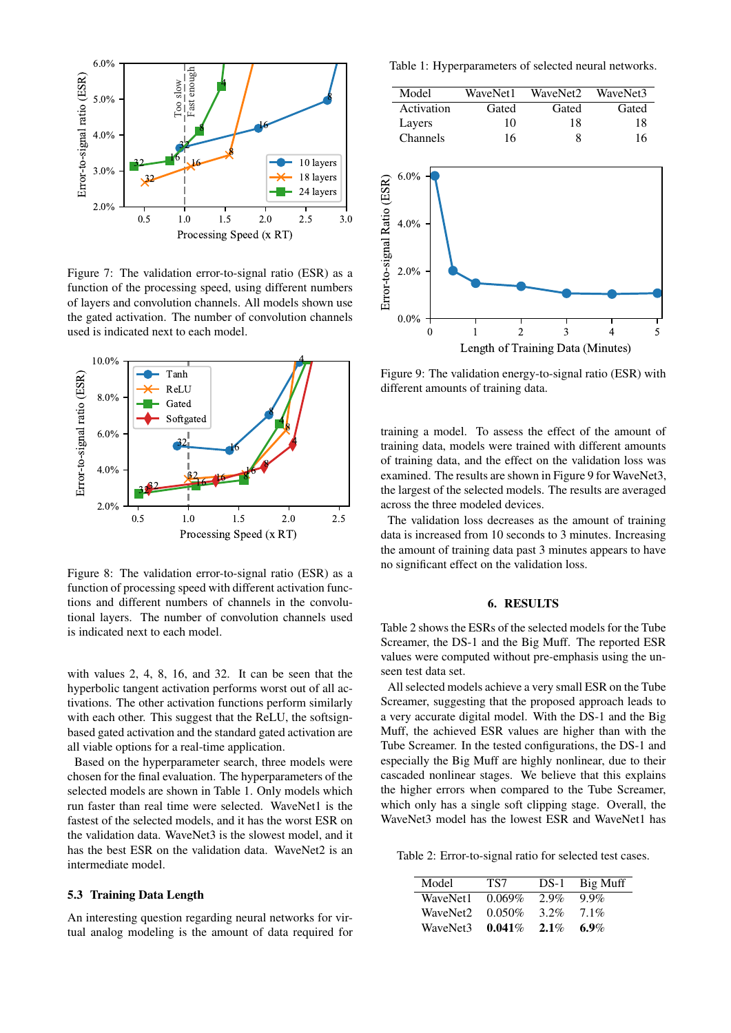<span id="page-5-1"></span>

Figure 7: The validation error-to-signal ratio (ESR) as a function of the processing speed, using different numbers of layers and convolution channels. All models shown use the gated activation. The number of convolution channels used is indicated next to each model.

<span id="page-5-2"></span>

Figure 8: The validation error-to-signal ratio (ESR) as a function of processing speed with different activation functions and different numbers of channels in the convolutional layers. The number of convolution channels used is indicated next to each model.

with values 2, 4, 8, 16, and 32. It can be seen that the hyperbolic tangent activation performs worst out of all activations. The other activation functions perform similarly with each other. This suggest that the ReLU, the softsignbased gated activation and the standard gated activation are all viable options for a real-time application.

Based on the hyperparameter search, three models were chosen for the final evaluation. The hyperparameters of the selected models are shown in Table [1.](#page-5-3) Only models which run faster than real time were selected. WaveNet1 is the fastest of the selected models, and it has the worst ESR on the validation data. WaveNet3 is the slowest model, and it has the best ESR on the validation data. WaveNet2 is an intermediate model.

## 5.3 Training Data Length

An interesting question regarding neural networks for virtual analog modeling is the amount of data required for

<span id="page-5-3"></span>Table 1: Hyperparameters of selected neural networks.

| Model      | WaveNet1 | WaveNet2 | WaveNet3 |
|------------|----------|----------|----------|
| Activation | Gated    | Gated    | Gated    |
| Layers     | 10       | 18       | 18       |
| Channels   | 16       |          | 16       |

<span id="page-5-4"></span>

Figure 9: The validation energy-to-signal ratio (ESR) with different amounts of training data.

training a model. To assess the effect of the amount of training data, models were trained with different amounts of training data, and the effect on the validation loss was examined. The results are shown in Figure [9](#page-5-4) for WaveNet3, the largest of the selected models. The results are averaged across the three modeled devices.

The validation loss decreases as the amount of training data is increased from 10 seconds to 3 minutes. Increasing the amount of training data past 3 minutes appears to have no significant effect on the validation loss.

## 6. RESULTS

<span id="page-5-0"></span>Table [2](#page-5-5) shows the ESRs of the selected models for the Tube Screamer, the DS-1 and the Big Muff. The reported ESR values were computed without pre-emphasis using the unseen test data set.

All selected models achieve a very small ESR on the Tube Screamer, suggesting that the proposed approach leads to a very accurate digital model. With the DS-1 and the Big Muff, the achieved ESR values are higher than with the Tube Screamer. In the tested configurations, the DS-1 and especially the Big Muff are highly nonlinear, due to their cascaded nonlinear stages. We believe that this explains the higher errors when compared to the Tube Screamer, which only has a single soft clipping stage. Overall, the WaveNet3 model has the lowest ESR and WaveNet1 has

<span id="page-5-5"></span>Table 2: Error-to-signal ratio for selected test cases.

| Model    | TS7       | $DS-1$  | Big Muff |
|----------|-----------|---------|----------|
| WaveNet1 | $0.069\%$ | $2.9\%$ | $9.9\%$  |
| WaveNet2 | $0.050\%$ | $3.2\%$ | $7.1\%$  |
| WaveNet3 | $0.041\%$ | $2.1\%$ | 6.9%     |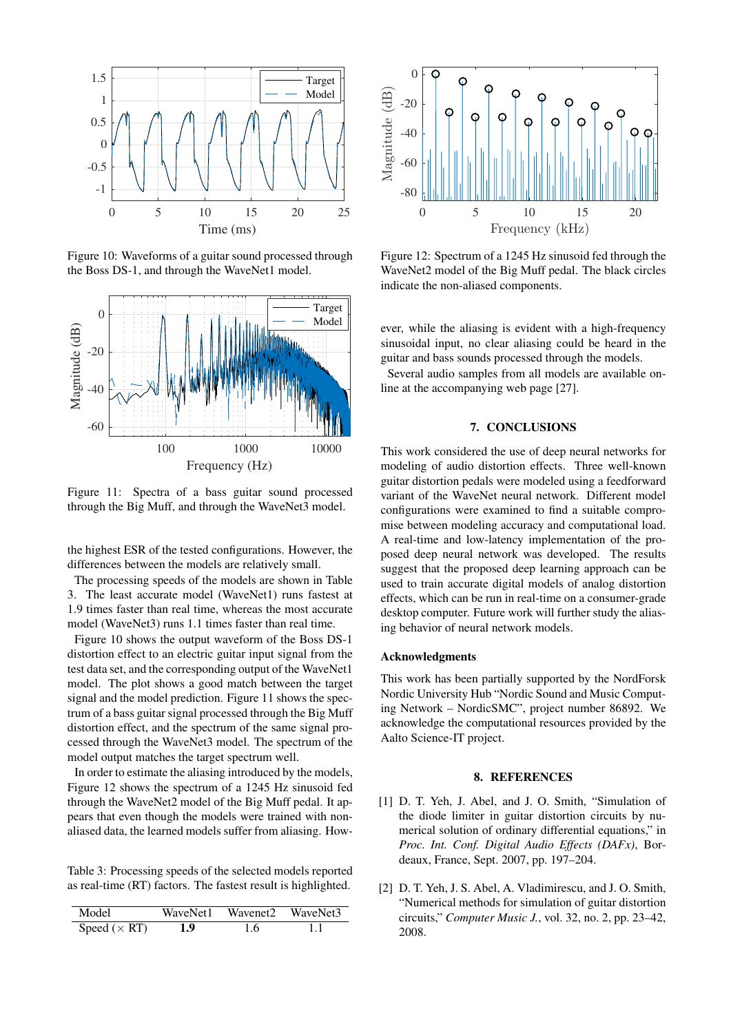<span id="page-6-4"></span>

Figure 10: Waveforms of a guitar sound processed through the Boss DS-1, and through the WaveNet1 model.

<span id="page-6-5"></span>

Figure 11: Spectra of a bass guitar sound processed through the Big Muff, and through the WaveNet3 model.

the highest ESR of the tested configurations. However, the differences between the models are relatively small.

The processing speeds of the models are shown in Table [3.](#page-6-3) The least accurate model (WaveNet1) runs fastest at 1.9 times faster than real time, whereas the most accurate model (WaveNet3) runs 1.1 times faster than real time.

Figure [10](#page-6-4) shows the output waveform of the Boss DS-1 distortion effect to an electric guitar input signal from the test data set, and the corresponding output of the WaveNet1 model. The plot shows a good match between the target signal and the model prediction. Figure [11](#page-6-5) shows the spectrum of a bass guitar signal processed through the Big Muff distortion effect, and the spectrum of the same signal processed through the WaveNet3 model. The spectrum of the model output matches the target spectrum well.

In order to estimate the aliasing introduced by the models, Figure [12](#page-6-6) shows the spectrum of a 1245 Hz sinusoid fed through the WaveNet2 model of the Big Muff pedal. It appears that even though the models were trained with nonaliased data, the learned models suffer from aliasing. How-

<span id="page-6-3"></span>Table 3: Processing speeds of the selected models reported as real-time (RT) factors. The fastest result is highlighted.

| Model                |      | WaveNet1 Wavenet2 WaveNet3 |      |
|----------------------|------|----------------------------|------|
| Speed ( $\times$ RT) | -1.9 | -1.6                       | -1.1 |

<span id="page-6-6"></span>

Figure 12: Spectrum of a 1245 Hz sinusoid fed through the WaveNet2 model of the Big Muff pedal. The black circles indicate the non-aliased components.

ever, while the aliasing is evident with a high-frequency sinusoidal input, no clear aliasing could be heard in the guitar and bass sounds processed through the models.

Several audio samples from all models are available online at the accompanying web page [\[27\]](#page-7-23).

# 7. CONCLUSIONS

<span id="page-6-1"></span>This work considered the use of deep neural networks for modeling of audio distortion effects. Three well-known guitar distortion pedals were modeled using a feedforward variant of the WaveNet neural network. Different model configurations were examined to find a suitable compromise between modeling accuracy and computational load. A real-time and low-latency implementation of the proposed deep neural network was developed. The results suggest that the proposed deep learning approach can be used to train accurate digital models of analog distortion effects, which can be run in real-time on a consumer-grade desktop computer. Future work will further study the aliasing behavior of neural network models.

## Acknowledgments

This work has been partially supported by the NordForsk Nordic University Hub "Nordic Sound and Music Computing Network – NordicSMC", project number 86892. We acknowledge the computational resources provided by the Aalto Science-IT project.

## 8. REFERENCES

- <span id="page-6-0"></span>[1] D. T. Yeh, J. Abel, and J. O. Smith, "Simulation of the diode limiter in guitar distortion circuits by numerical solution of ordinary differential equations," in *Proc. Int. Conf. Digital Audio Effects (DAFx)*, Bordeaux, France, Sept. 2007, pp. 197–204.
- <span id="page-6-2"></span>[2] D. T. Yeh, J. S. Abel, A. Vladimirescu, and J. O. Smith, "Numerical methods for simulation of guitar distortion circuits," *Computer Music J.*, vol. 32, no. 2, pp. 23–42, 2008.